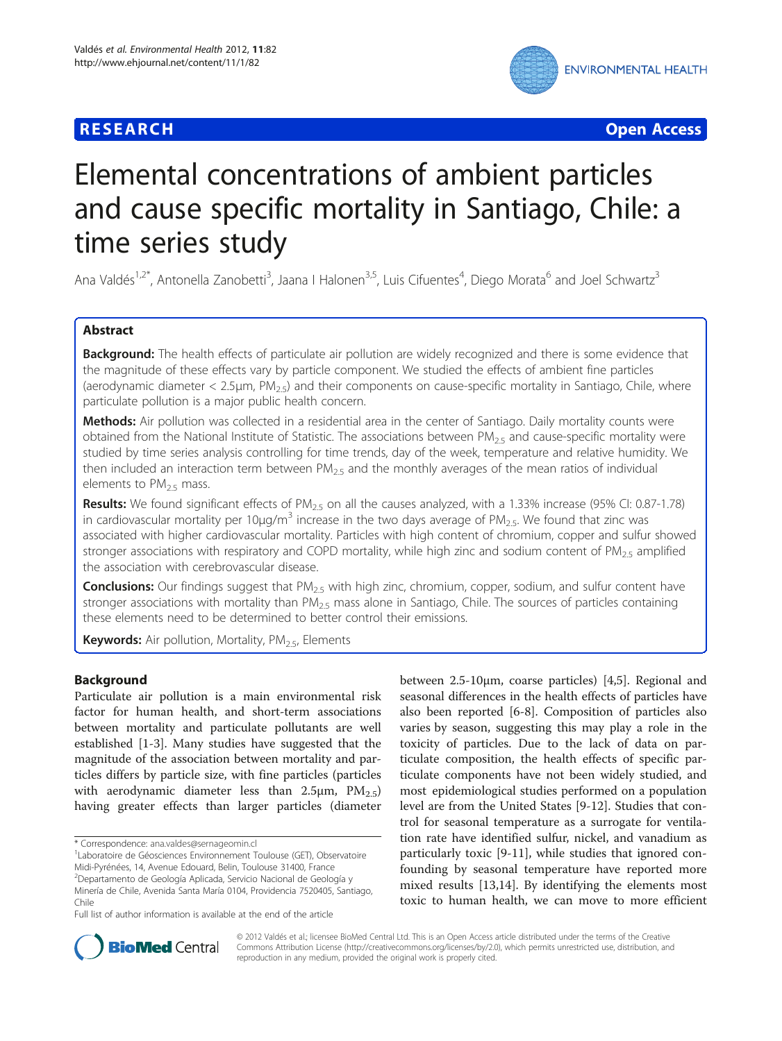



# Elemental concentrations of ambient particles and cause specific mortality in Santiago, Chile: a time series study

Ana Valdés<sup>1,2\*</sup>, Antonella Zanobetti<sup>3</sup>, Jaana I Halonen<sup>3,5</sup>, Luis Cifuentes<sup>4</sup>, Diego Morata<sup>6</sup> and Joel Schwartz<sup>3</sup>

# Abstract

Background: The health effects of particulate air pollution are widely recognized and there is some evidence that the magnitude of these effects vary by particle component. We studied the effects of ambient fine particles (aerodynamic diameter  $\lt 2.5\mu$ m, PM<sub>2.5</sub>) and their components on cause-specific mortality in Santiago, Chile, where particulate pollution is a major public health concern.

Methods: Air pollution was collected in a residential area in the center of Santiago. Daily mortality counts were obtained from the National Institute of Statistic. The associations between  $PM_{2.5}$  and cause-specific mortality were studied by time series analysis controlling for time trends, day of the week, temperature and relative humidity. We then included an interaction term between  $PM_{2.5}$  and the monthly averages of the mean ratios of individual elements to  $PM<sub>2.5</sub>$  mass.

Results: We found significant effects of PM<sub>2.5</sub> on all the causes analyzed, with a 1.33% increase (95% CI: 0.87-1.78) in cardiovascular mortality per 10µg/m<sup>3</sup> increase in the two days average of PM<sub>2.5</sub>. We found that zinc was associated with higher cardiovascular mortality. Particles with high content of chromium, copper and sulfur showed stronger associations with respiratory and COPD mortality, while high zinc and sodium content of PM<sub>2.5</sub> amplified the association with cerebrovascular disease.

Conclusions: Our findings suggest that PM<sub>2.5</sub> with high zinc, chromium, copper, sodium, and sulfur content have stronger associations with mortality than  $PM_{2.5}$  mass alone in Santiago, Chile. The sources of particles containing these elements need to be determined to better control their emissions.

Keywords: Air pollution, Mortality, PM<sub>2.5</sub>, Elements

# Background

Particulate air pollution is a main environmental risk factor for human health, and short-term associations between mortality and particulate pollutants are well established [[1-3](#page-6-0)]. Many studies have suggested that the magnitude of the association between mortality and particles differs by particle size, with fine particles (particles with aerodynamic diameter less than  $2.5\mu$ m,  $PM_{2.5}$ ) having greater effects than larger particles (diameter

2 Departamento de Geología Aplicada, Servicio Nacional de Geología y Minería de Chile, Avenida Santa María 0104, Providencia 7520405, Santiago, Chile

Full list of author information is available at the end of the article

between 2.5-10μm, coarse particles) [[4,5\]](#page-6-0). Regional and seasonal differences in the health effects of particles have also been reported [\[6](#page-6-0)-[8\]](#page-6-0). Composition of particles also varies by season, suggesting this may play a role in the toxicity of particles. Due to the lack of data on particulate composition, the health effects of specific particulate components have not been widely studied, and most epidemiological studies performed on a population level are from the United States [[9-12](#page-6-0)]. Studies that control for seasonal temperature as a surrogate for ventilation rate have identified sulfur, nickel, and vanadium as particularly toxic [\[9](#page-6-0)-[11\]](#page-6-0), while studies that ignored confounding by seasonal temperature have reported more mixed results [[13,14\]](#page-6-0). By identifying the elements most toxic to human health, we can move to more efficient



© 2012 Valdés et al.; licensee BioMed Central Ltd. This is an Open Access article distributed under the terms of the Creative Commons Attribution License [\(http://creativecommons.org/licenses/by/2.0\)](http://creativecommons.org/licenses/by/2.0), which permits unrestricted use, distribution, and reproduction in any medium, provided the original work is properly cited.

<sup>\*</sup> Correspondence: [ana.valdes@sernageomin.cl](mailto:ana.valdes@sernageomin.cl) <sup>1</sup>

<sup>&</sup>lt;sup>1</sup> Laboratoire de Géosciences Environnement Toulouse (GET), Observatoire Midi-Pyrénées, 14, Avenue Edouard, Belin, Toulouse 31400, France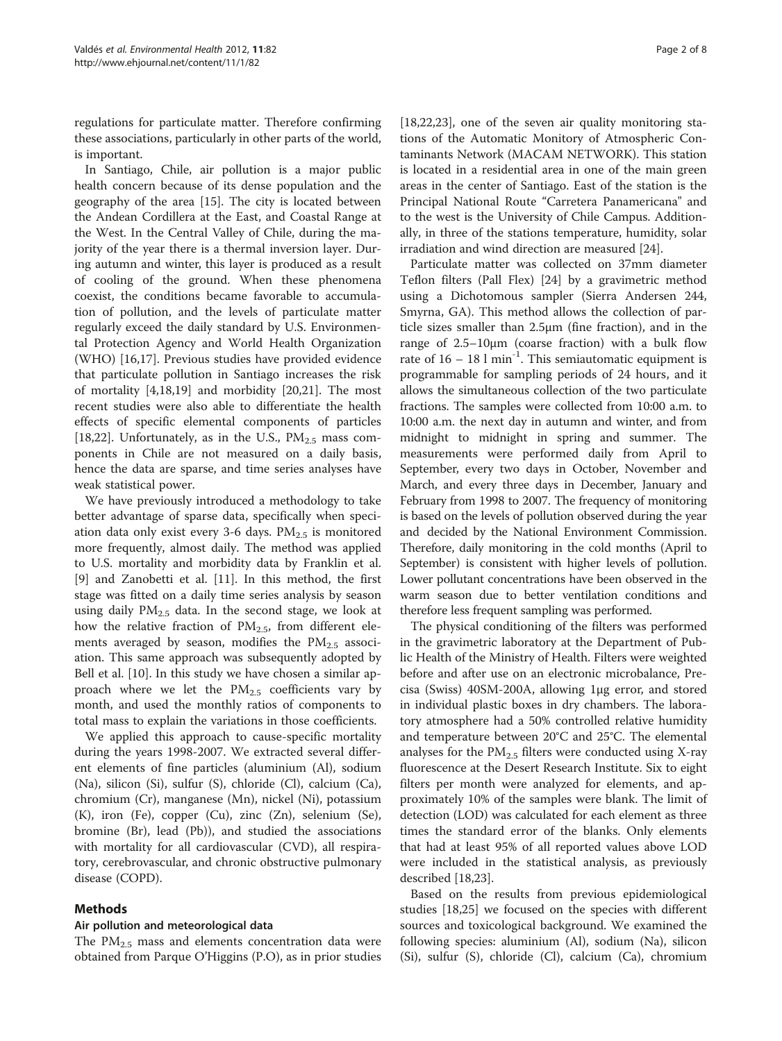regulations for particulate matter. Therefore confirming these associations, particularly in other parts of the world, is important.

In Santiago, Chile, air pollution is a major public health concern because of its dense population and the geography of the area [\[15](#page-6-0)]. The city is located between the Andean Cordillera at the East, and Coastal Range at the West. In the Central Valley of Chile, during the majority of the year there is a thermal inversion layer. During autumn and winter, this layer is produced as a result of cooling of the ground. When these phenomena coexist, the conditions became favorable to accumulation of pollution, and the levels of particulate matter regularly exceed the daily standard by U.S. Environmental Protection Agency and World Health Organization (WHO) [[16](#page-6-0),[17](#page-6-0)]. Previous studies have provided evidence that particulate pollution in Santiago increases the risk of mortality [\[4,18,19\]](#page-6-0) and morbidity [[20,21\]](#page-6-0). The most recent studies were also able to differentiate the health effects of specific elemental components of particles [[18,22\]](#page-6-0). Unfortunately, as in the U.S.,  $PM_{2.5}$  mass components in Chile are not measured on a daily basis, hence the data are sparse, and time series analyses have weak statistical power.

We have previously introduced a methodology to take better advantage of sparse data, specifically when speciation data only exist every 3-6 days.  $PM_{2.5}$  is monitored more frequently, almost daily. The method was applied to U.S. mortality and morbidity data by Franklin et al. [[9\]](#page-6-0) and Zanobetti et al. [[11\]](#page-6-0). In this method, the first stage was fitted on a daily time series analysis by season using daily  $PM_{2.5}$  data. In the second stage, we look at how the relative fraction of  $PM_{2.5}$ , from different elements averaged by season, modifies the  $PM_{2.5}$  association. This same approach was subsequently adopted by Bell et al. [\[10](#page-6-0)]. In this study we have chosen a similar approach where we let the  $PM_{2.5}$  coefficients vary by month, and used the monthly ratios of components to total mass to explain the variations in those coefficients.

We applied this approach to cause-specific mortality during the years 1998-2007. We extracted several different elements of fine particles (aluminium (Al), sodium (Na), silicon (Si), sulfur (S), chloride (Cl), calcium (Ca), chromium (Cr), manganese (Mn), nickel (Ni), potassium (K), iron (Fe), copper (Cu), zinc (Zn), selenium (Se), bromine (Br), lead (Pb)), and studied the associations with mortality for all cardiovascular (CVD), all respiratory, cerebrovascular, and chronic obstructive pulmonary disease (COPD).

# Methods

## Air pollution and meteorological data

The  $PM<sub>2.5</sub>$  mass and elements concentration data were obtained from Parque O'Higgins (P.O), as in prior studies [[18,22,23\]](#page-6-0), one of the seven air quality monitoring stations of the Automatic Monitory of Atmospheric Contaminants Network (MACAM NETWORK). This station is located in a residential area in one of the main green areas in the center of Santiago. East of the station is the Principal National Route "Carretera Panamericana" and to the west is the University of Chile Campus. Additionally, in three of the stations temperature, humidity, solar irradiation and wind direction are measured [\[24\]](#page-6-0).

Particulate matter was collected on 37mm diameter Teflon filters (Pall Flex) [\[24\]](#page-6-0) by a gravimetric method using a Dichotomous sampler (Sierra Andersen 244, Smyrna, GA). This method allows the collection of particle sizes smaller than 2.5μm (fine fraction), and in the range of 2.5–10μm (coarse fraction) with a bulk flow rate of  $16 - 18$  l min<sup>-1</sup>. This semiautomatic equipment is programmable for sampling periods of 24 hours, and it allows the simultaneous collection of the two particulate fractions. The samples were collected from 10:00 a.m. to 10:00 a.m. the next day in autumn and winter, and from midnight to midnight in spring and summer. The measurements were performed daily from April to September, every two days in October, November and March, and every three days in December, January and February from 1998 to 2007. The frequency of monitoring is based on the levels of pollution observed during the year and decided by the National Environment Commission. Therefore, daily monitoring in the cold months (April to September) is consistent with higher levels of pollution. Lower pollutant concentrations have been observed in the warm season due to better ventilation conditions and therefore less frequent sampling was performed.

The physical conditioning of the filters was performed in the gravimetric laboratory at the Department of Public Health of the Ministry of Health. Filters were weighted before and after use on an electronic microbalance, Precisa (Swiss) 40SM-200A, allowing 1μg error, and stored in individual plastic boxes in dry chambers. The laboratory atmosphere had a 50% controlled relative humidity and temperature between 20°C and 25°C. The elemental analyses for the  $PM_{2.5}$  filters were conducted using X-ray fluorescence at the Desert Research Institute. Six to eight filters per month were analyzed for elements, and approximately 10% of the samples were blank. The limit of detection (LOD) was calculated for each element as three times the standard error of the blanks. Only elements that had at least 95% of all reported values above LOD were included in the statistical analysis, as previously described [\[18,23](#page-6-0)].

Based on the results from previous epidemiological studies [[18,25\]](#page-6-0) we focused on the species with different sources and toxicological background. We examined the following species: aluminium (Al), sodium (Na), silicon (Si), sulfur (S), chloride (Cl), calcium (Ca), chromium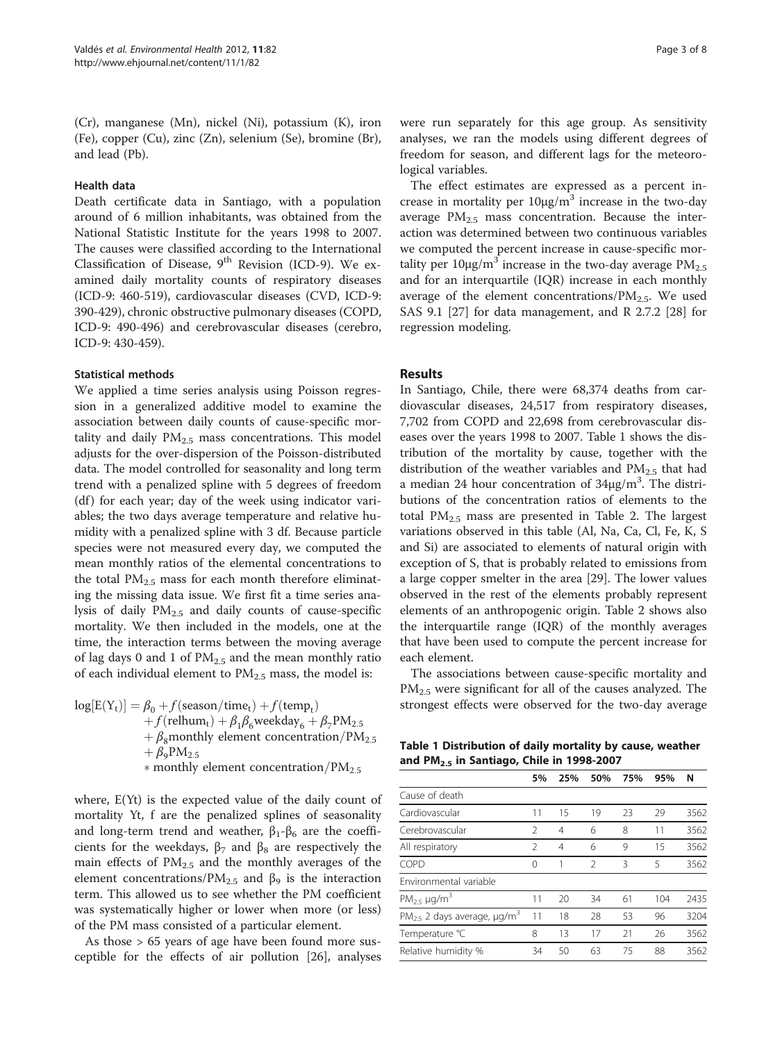(Cr), manganese (Mn), nickel (Ni), potassium (K), iron (Fe), copper (Cu), zinc (Zn), selenium (Se), bromine (Br), and lead (Pb).

## Health data

Death certificate data in Santiago, with a population around of 6 million inhabitants, was obtained from the National Statistic Institute for the years 1998 to 2007. The causes were classified according to the International Classification of Disease, 9<sup>th</sup> Revision (ICD-9). We examined daily mortality counts of respiratory diseases (ICD-9: 460-519), cardiovascular diseases (CVD, ICD-9: 390-429), chronic obstructive pulmonary diseases (COPD, ICD-9: 490-496) and cerebrovascular diseases (cerebro, ICD-9: 430-459).

## Statistical methods

We applied a time series analysis using Poisson regression in a generalized additive model to examine the association between daily counts of cause-specific mortality and daily  $PM<sub>2.5</sub>$  mass concentrations. This model adjusts for the over-dispersion of the Poisson-distributed data. The model controlled for seasonality and long term trend with a penalized spline with 5 degrees of freedom (df) for each year; day of the week using indicator variables; the two days average temperature and relative humidity with a penalized spline with 3 df. Because particle species were not measured every day, we computed the mean monthly ratios of the elemental concentrations to the total  $PM_{2.5}$  mass for each month therefore eliminating the missing data issue. We first fit a time series analysis of daily  $PM_{2.5}$  and daily counts of cause-specific mortality. We then included in the models, one at the time, the interaction terms between the moving average of lag days 0 and 1 of  $PM_{2.5}$  and the mean monthly ratio of each individual element to  $PM_{2.5}$  mass, the model is:

$$
log[E(Y_t)] = \beta_0 + f(\text{season}/\text{time}_t) + f(\text{temp}_t) + f(\text{relhum}_t) + \beta_1 \beta_6 \text{weekday}_6 + \beta_7 PM_{2.5} + \beta_8 \text{monthly element concentration}/PM_{2.5} + \beta_9 PM_{2.5} * monthly element concentration/PM_{2.5}
$$

where, E(Yt) is the expected value of the daily count of mortality Yt, f are the penalized splines of seasonality and long-term trend and weather,  $β_1 - β_6$  are the coefficients for the weekdays,  $\beta_7$  and  $\beta_8$  are respectively the main effects of  $PM_{2.5}$  and the monthly averages of the element concentrations/ $PM_{2.5}$  and  $β_9$  is the interaction term. This allowed us to see whether the PM coefficient was systematically higher or lower when more (or less) of the PM mass consisted of a particular element.

As those > 65 years of age have been found more susceptible for the effects of air pollution [[26\]](#page-6-0), analyses

were run separately for this age group. As sensitivity analyses, we ran the models using different degrees of freedom for season, and different lags for the meteorological variables.

The effect estimates are expressed as a percent increase in mortality per  $10\mu\text{g/m}^3$  increase in the two-day average  $PM_{2.5}$  mass concentration. Because the interaction was determined between two continuous variables we computed the percent increase in cause-specific mortality per  $10\mu g/m^3$  increase in the two-day average  $PM_{2.5}$ and for an interquartile (IQR) increase in each monthly average of the element concentrations/ $PM_{2.5}$ . We used SAS 9.1 [\[27](#page-6-0)] for data management, and R 2.7.2 [\[28](#page-6-0)] for regression modeling.

## **Results**

In Santiago, Chile, there were 68,374 deaths from cardiovascular diseases, 24,517 from respiratory diseases, 7,702 from COPD and 22,698 from cerebrovascular diseases over the years 1998 to 2007. Table 1 shows the distribution of the mortality by cause, together with the distribution of the weather variables and  $PM_{2.5}$  that had a median 24 hour concentration of  $34\mu$ g/m<sup>3</sup>. The distributions of the concentration ratios of elements to the total  $PM_{2.5}$  mass are presented in Table [2.](#page-3-0) The largest variations observed in this table (Al, Na, Ca, Cl, Fe, K, S and Si) are associated to elements of natural origin with exception of S, that is probably related to emissions from a large copper smelter in the area [\[29\]](#page-6-0). The lower values observed in the rest of the elements probably represent elements of an anthropogenic origin. Table [2](#page-3-0) shows also the interquartile range (IQR) of the monthly averages that have been used to compute the percent increase for each element.

The associations between cause-specific mortality and  $PM_{2.5}$  were significant for all of the causes analyzed. The strongest effects were observed for the two-day average

Table 1 Distribution of daily mortality by cause, weather and PM<sub>2.5</sub> in Santiago, Chile in 1998-2007

| 5%            | 25%            | 50%            | 75% | 95% | N    |
|---------------|----------------|----------------|-----|-----|------|
|               |                |                |     |     |      |
| 11            | 15             | 19             | 23  | 29  | 3562 |
| $\mathcal{P}$ | $\overline{4}$ | 6              | 8   | 11  | 3562 |
| 2             | 4              | 6              | 9   | 15  | 3562 |
| $\Omega$      | 1              | $\mathfrak{D}$ | 3   | 5   | 3562 |
|               |                |                |     |     |      |
| 11            | 20             | 34             | 61  | 104 | 2435 |
| 11            | 18             | 28             | 53  | 96  | 3204 |
| 8             | 13             | 17             | 21  | 26  | 3562 |
| 34            | 50             | 63             | 75  | 88  | 3562 |
|               |                |                |     |     |      |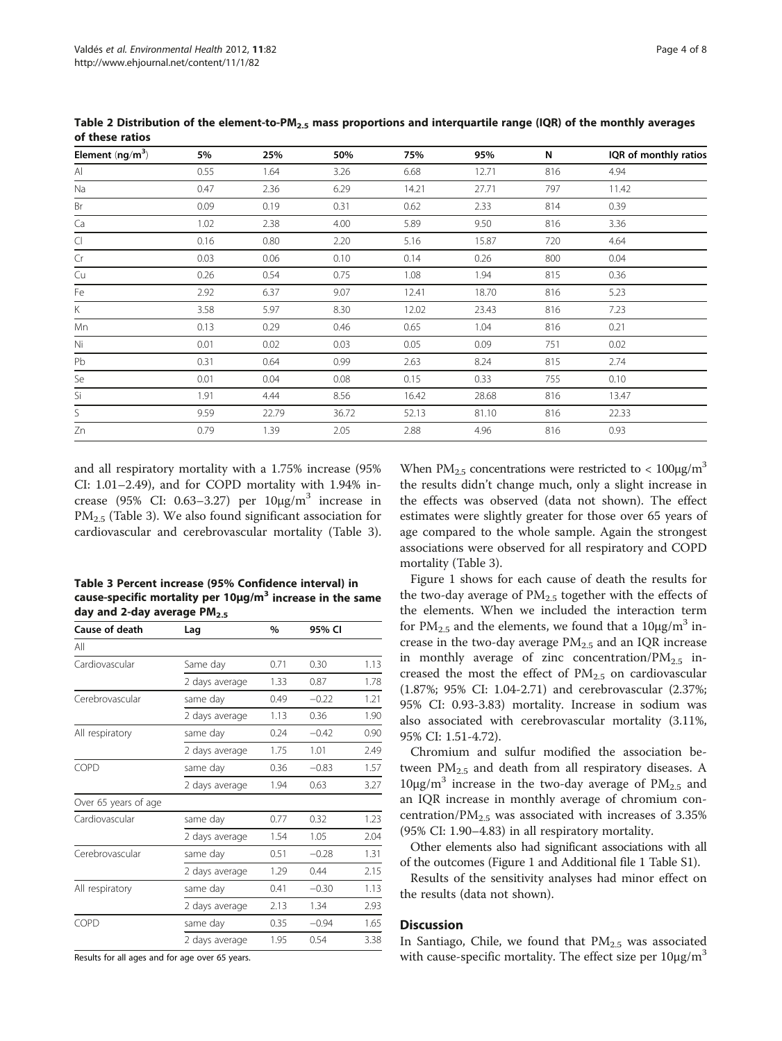| Element $(ng/m3)$ | 5%   | 25%   | 50%   | 75%   | 95%   | Ν   | IQR of monthly ratios |
|-------------------|------|-------|-------|-------|-------|-----|-----------------------|
| $\mathsf{A}$      | 0.55 | 1.64  | 3.26  | 6.68  | 12.71 | 816 | 4.94                  |
| Na                | 0.47 | 2.36  | 6.29  | 14.21 | 27.71 | 797 | 11.42                 |
| Br                | 0.09 | 0.19  | 0.31  | 0.62  | 2.33  | 814 | 0.39                  |
| Ca                | 1.02 | 2.38  | 4.00  | 5.89  | 9.50  | 816 | 3.36                  |
| $\subset$         | 0.16 | 0.80  | 2.20  | 5.16  | 15.87 | 720 | 4.64                  |
| Cr                | 0.03 | 0.06  | 0.10  | 0.14  | 0.26  | 800 | 0.04                  |
| Cu                | 0.26 | 0.54  | 0.75  | 1.08  | 1.94  | 815 | 0.36                  |
| Fe                | 2.92 | 6.37  | 9.07  | 12.41 | 18.70 | 816 | 5.23                  |
| K                 | 3.58 | 5.97  | 8.30  | 12.02 | 23.43 | 816 | 7.23                  |
| Mn                | 0.13 | 0.29  | 0.46  | 0.65  | 1.04  | 816 | 0.21                  |
| Ni                | 0.01 | 0.02  | 0.03  | 0.05  | 0.09  | 751 | 0.02                  |
| Pb                | 0.31 | 0.64  | 0.99  | 2.63  | 8.24  | 815 | 2.74                  |
| Se                | 0.01 | 0.04  | 0.08  | 0.15  | 0.33  | 755 | 0.10                  |
| Si                | 1.91 | 4.44  | 8.56  | 16.42 | 28.68 | 816 | 13.47                 |
| S                 | 9.59 | 22.79 | 36.72 | 52.13 | 81.10 | 816 | 22.33                 |
| Zn                | 0.79 | 1.39  | 2.05  | 2.88  | 4.96  | 816 | 0.93                  |

<span id="page-3-0"></span>Table 2 Distribution of the element-to-PM<sub>2.5</sub> mass proportions and interquartile range (IQR) of the monthly averages of these ratios

and all respiratory mortality with a 1.75% increase (95% CI: 1.01–2.49), and for COPD mortality with 1.94% increase (95% CI:  $0.63-3.27$ ) per  $10\mu\text{g/m}^3$  increase in  $PM_{2.5}$  (Table 3). We also found significant association for cardiovascular and cerebrovascular mortality (Table 3).

Table 3 Percent increase (95% Confidence interval) in cause-specific mortality per  $10\mu g/m^3$  increase in the same day and 2-day average  $PM_{2.5}$ 

| Cause of death       | Lag            | $\%$ | 95% CI  |      |
|----------------------|----------------|------|---------|------|
| All                  |                |      |         |      |
| Cardiovascular       | Same day       | 0.71 | 0.30    | 1.13 |
|                      | 2 days average | 1.33 | 0.87    | 1.78 |
| Cerebrovascular      | same day       | 0.49 | $-0.22$ | 1.21 |
|                      | 2 days average | 1.13 | 0.36    | 1.90 |
| All respiratory      | same day       | 0.24 | $-0.42$ | 0.90 |
|                      | 2 days average | 1.75 | 1.01    | 2.49 |
| COPD                 | same day       | 0.36 | $-0.83$ | 1.57 |
|                      | 2 days average | 1.94 | 0.63    | 3.27 |
| Over 65 years of age |                |      |         |      |
| Cardiovascular       | same day       | 0.77 | 0.32    | 1.23 |
|                      | 2 days average | 1.54 | 1.05    | 2.04 |
| Cerebrovascular      | same day       | 0.51 | $-0.28$ | 1.31 |
|                      | 2 days average | 1.29 | 0.44    | 2.15 |
| All respiratory      | same day       | 0.41 | $-0.30$ | 1.13 |
|                      | 2 days average | 2.13 | 1.34    | 2.93 |
| COPD                 | same day       | 0.35 | $-0.94$ | 1.65 |
|                      | 2 days average | 1.95 | 0.54    | 3.38 |

Results for all ages and for age over 65 years.

When  $PM_{2.5}$  concentrations were restricted to <  $100\mu\text{g/m}^3$ the results didn't change much, only a slight increase in the effects was observed (data not shown). The effect estimates were slightly greater for those over 65 years of age compared to the whole sample. Again the strongest associations were observed for all respiratory and COPD mortality (Table 3).

Figure [1](#page-4-0) shows for each cause of death the results for the two-day average of  $PM_{2.5}$  together with the effects of the elements. When we included the interaction term for  $PM_{2.5}$  and the elements, we found that a  $10\mu\text{g/m}^3$  increase in the two-day average  $PM_{2.5}$  and an IQR increase in monthly average of zinc concentration/ $PM_{2.5}$  increased the most the effect of PM<sub>2.5</sub> on cardiovascular (1.87%; 95% CI: 1.04-2.71) and cerebrovascular (2.37%; 95% CI: 0.93-3.83) mortality. Increase in sodium was also associated with cerebrovascular mortality (3.11%, 95% CI: 1.51-4.72).

Chromium and sulfur modified the association between  $PM_{2.5}$  and death from all respiratory diseases. A  $10\mu$ g/m<sup>3</sup> increase in the two-day average of PM<sub>2.5</sub> and an IQR increase in monthly average of chromium concentration/ $PM_{2.5}$  was associated with increases of 3.35% (95% CI: 1.90–4.83) in all respiratory mortality.

Other elements also had significant associations with all of the outcomes (Figure [1](#page-4-0) and Additional file [1](#page-5-0) Table S1).

Results of the sensitivity analyses had minor effect on the results (data not shown).

### **Discussion**

In Santiago, Chile, we found that  $PM_{2.5}$  was associated with cause-specific mortality. The effect size per  $10\mu g/m^3$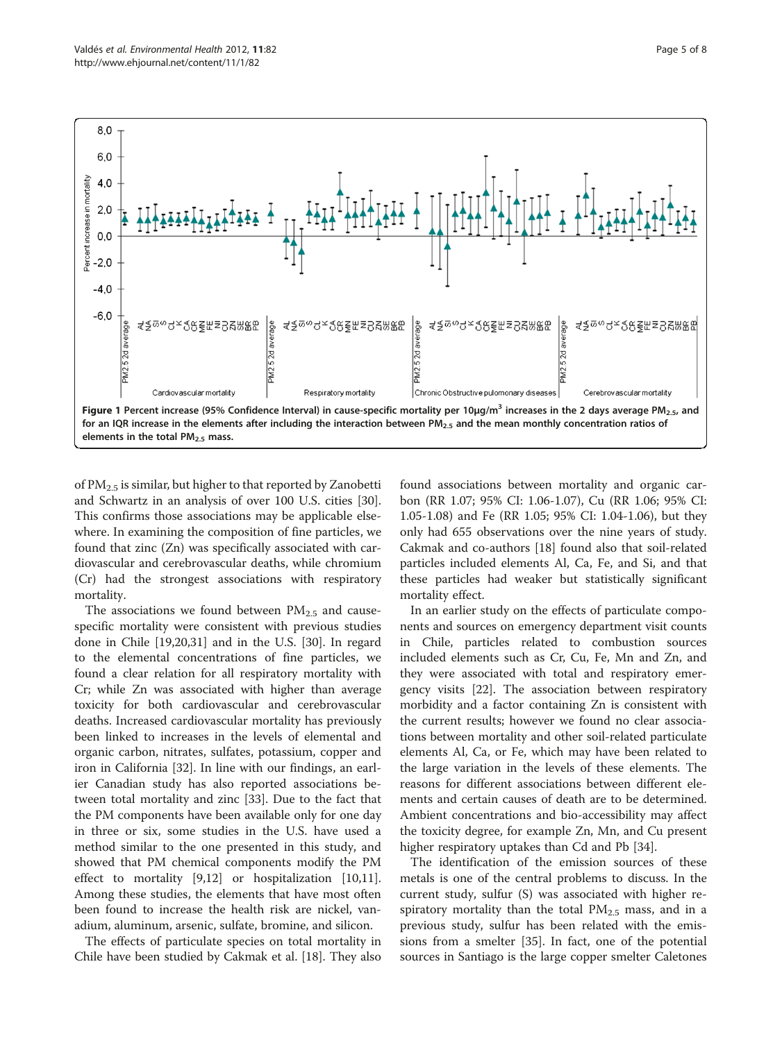

<span id="page-4-0"></span>

of  $PM_{2.5}$  is similar, but higher to that reported by Zanobetti and Schwartz in an analysis of over 100 U.S. cities [\[30](#page-6-0)]. This confirms those associations may be applicable elsewhere. In examining the composition of fine particles, we found that zinc (Zn) was specifically associated with cardiovascular and cerebrovascular deaths, while chromium (Cr) had the strongest associations with respiratory mortality.

The associations we found between  $PM_{2.5}$  and causespecific mortality were consistent with previous studies done in Chile [\[19,20,31\]](#page-6-0) and in the U.S. [[30\]](#page-6-0). In regard to the elemental concentrations of fine particles, we found a clear relation for all respiratory mortality with Cr; while Zn was associated with higher than average toxicity for both cardiovascular and cerebrovascular deaths. Increased cardiovascular mortality has previously been linked to increases in the levels of elemental and organic carbon, nitrates, sulfates, potassium, copper and iron in California [\[32](#page-6-0)]. In line with our findings, an earlier Canadian study has also reported associations between total mortality and zinc [\[33](#page-6-0)]. Due to the fact that the PM components have been available only for one day in three or six, some studies in the U.S. have used a method similar to the one presented in this study, and showed that PM chemical components modify the PM effect to mortality [[9,12\]](#page-6-0) or hospitalization [\[10,11](#page-6-0)]. Among these studies, the elements that have most often been found to increase the health risk are nickel, vanadium, aluminum, arsenic, sulfate, bromine, and silicon.

The effects of particulate species on total mortality in Chile have been studied by Cakmak et al. [[18\]](#page-6-0). They also

found associations between mortality and organic carbon (RR 1.07; 95% CI: 1.06-1.07), Cu (RR 1.06; 95% CI: 1.05-1.08) and Fe (RR 1.05; 95% CI: 1.04-1.06), but they only had 655 observations over the nine years of study. Cakmak and co-authors [[18](#page-6-0)] found also that soil-related particles included elements Al, Ca, Fe, and Si, and that these particles had weaker but statistically significant mortality effect.

In an earlier study on the effects of particulate components and sources on emergency department visit counts in Chile, particles related to combustion sources included elements such as Cr, Cu, Fe, Mn and Zn, and they were associated with total and respiratory emergency visits [[22](#page-6-0)]. The association between respiratory morbidity and a factor containing Zn is consistent with the current results; however we found no clear associations between mortality and other soil-related particulate elements Al, Ca, or Fe, which may have been related to the large variation in the levels of these elements. The reasons for different associations between different elements and certain causes of death are to be determined. Ambient concentrations and bio-accessibility may affect the toxicity degree, for example Zn, Mn, and Cu present higher respiratory uptakes than Cd and Pb [[34](#page-6-0)].

The identification of the emission sources of these metals is one of the central problems to discuss. In the current study, sulfur (S) was associated with higher respiratory mortality than the total  $PM_{2.5}$  mass, and in a previous study, sulfur has been related with the emissions from a smelter [\[35\]](#page-6-0). In fact, one of the potential sources in Santiago is the large copper smelter Caletones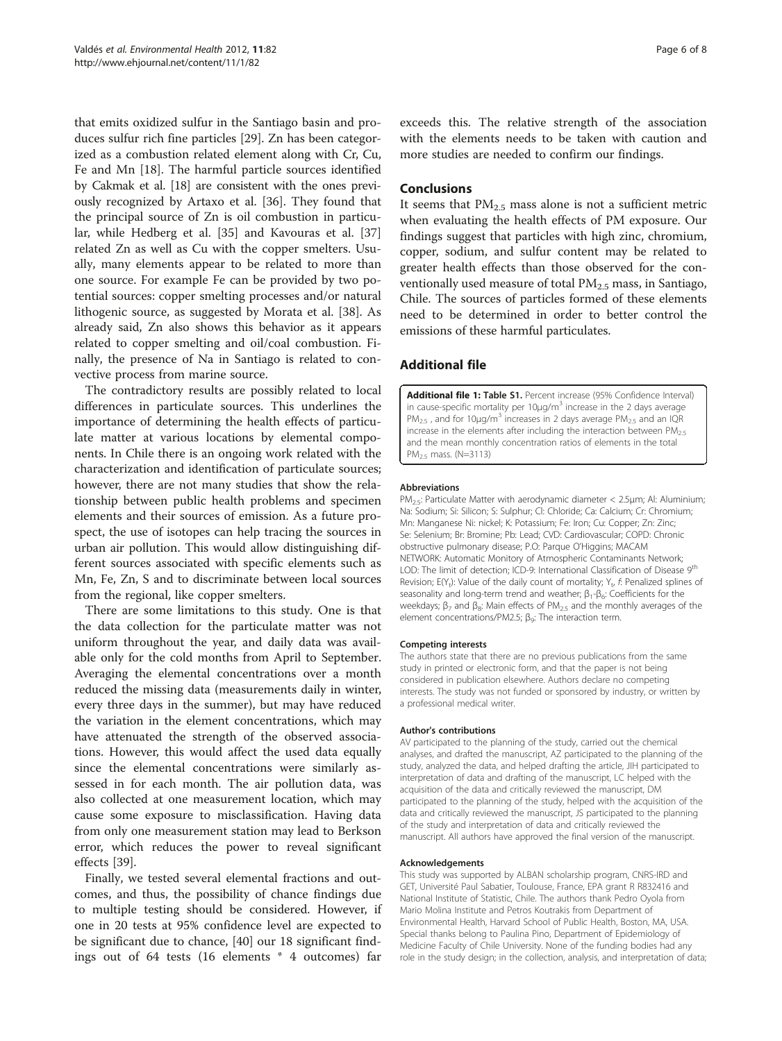<span id="page-5-0"></span>that emits oxidized sulfur in the Santiago basin and produces sulfur rich fine particles [\[29](#page-6-0)]. Zn has been categorized as a combustion related element along with Cr, Cu, Fe and Mn [[18\]](#page-6-0). The harmful particle sources identified by Cakmak et al. [\[18](#page-6-0)] are consistent with the ones previously recognized by Artaxo et al. [[36\]](#page-6-0). They found that the principal source of Zn is oil combustion in particular, while Hedberg et al. [[35](#page-6-0)] and Kavouras et al. [[37](#page-6-0)] related Zn as well as Cu with the copper smelters. Usually, many elements appear to be related to more than one source. For example Fe can be provided by two potential sources: copper smelting processes and/or natural lithogenic source, as suggested by Morata et al. [[38\]](#page-6-0). As already said, Zn also shows this behavior as it appears related to copper smelting and oil/coal combustion. Finally, the presence of Na in Santiago is related to convective process from marine source.

The contradictory results are possibly related to local differences in particulate sources. This underlines the importance of determining the health effects of particulate matter at various locations by elemental components. In Chile there is an ongoing work related with the characterization and identification of particulate sources; however, there are not many studies that show the relationship between public health problems and specimen elements and their sources of emission. As a future prospect, the use of isotopes can help tracing the sources in urban air pollution. This would allow distinguishing different sources associated with specific elements such as Mn, Fe, Zn, S and to discriminate between local sources from the regional, like copper smelters.

There are some limitations to this study. One is that the data collection for the particulate matter was not uniform throughout the year, and daily data was available only for the cold months from April to September. Averaging the elemental concentrations over a month reduced the missing data (measurements daily in winter, every three days in the summer), but may have reduced the variation in the element concentrations, which may have attenuated the strength of the observed associations. However, this would affect the used data equally since the elemental concentrations were similarly assessed in for each month. The air pollution data, was also collected at one measurement location, which may cause some exposure to misclassification. Having data from only one measurement station may lead to Berkson error, which reduces the power to reveal significant effects [[39\]](#page-7-0).

Finally, we tested several elemental fractions and outcomes, and thus, the possibility of chance findings due to multiple testing should be considered. However, if one in 20 tests at 95% confidence level are expected to be significant due to chance, [\[40\]](#page-7-0) our 18 significant findings out of 64 tests (16 elements \* 4 outcomes) far

exceeds this. The relative strength of the association with the elements needs to be taken with caution and more studies are needed to confirm our findings.

## **Conclusions**

It seems that  $PM<sub>2.5</sub>$  mass alone is not a sufficient metric when evaluating the health effects of PM exposure. Our findings suggest that particles with high zinc, chromium, copper, sodium, and sulfur content may be related to greater health effects than those observed for the conventionally used measure of total  $PM_{2.5}$  mass, in Santiago, Chile. The sources of particles formed of these elements need to be determined in order to better control the emissions of these harmful particulates.

## Additional file

[Additional file 1:](http://www.biomedcentral.com/content/supplementary/1476-069X-11-82-S1.doc) Table S1. Percent increase (95% Confidence Interval) in cause-specific mortality per  $10\mu g/m^3$  increase in the 2 days average PM<sub>2.5</sub>, and for 10µg/m<sup>3</sup> increases in 2 days average PM<sub>2.5</sub> and an IQR increase in the elements after including the interaction between  $PM_{2.5}$ and the mean monthly concentration ratios of elements in the total PM<sub>2.5</sub> mass. (N=3113)

#### Abbreviations

PM2.5: Particulate Matter with aerodynamic diameter < 2.5μm; Al: Aluminium; Na: Sodium; Si: Silicon; S: Sulphur; Cl: Chloride; Ca: Calcium; Cr: Chromium; Mn: Manganese Ni: nickel; K: Potassium; Fe: Iron; Cu: Copper; Zn: Zinc; Se: Selenium; Br: Bromine; Pb: Lead; CVD: Cardiovascular; COPD: Chronic obstructive pulmonary disease; P.O: Parque O'Higgins; MACAM NETWORK: Automatic Monitory of Atmospheric Contaminants Network; LOD: The limit of detection; ICD-9: International Classification of Disease 9<sup>th</sup> Revision; E(Y<sub>t</sub>): Value of the daily count of mortality; Y<sub>t</sub>, f. Penalized splines of seasonality and long-term trend and weather;  $β_1$ - $β_6$ : Coefficients for the weekdays;  $β_7$  and  $β_8$ : Main effects of PM<sub>2.5</sub> and the monthly averages of the element concentrations/PM2.5;  $β_9$ : The interaction term.

#### Competing interests

The authors state that there are no previous publications from the same study in printed or electronic form, and that the paper is not being considered in publication elsewhere. Authors declare no competing interests. The study was not funded or sponsored by industry, or written by a professional medical writer.

#### Author's contributions

AV participated to the planning of the study, carried out the chemical analyses, and drafted the manuscript, AZ participated to the planning of the study, analyzed the data, and helped drafting the article, JIH participated to interpretation of data and drafting of the manuscript, LC helped with the acquisition of the data and critically reviewed the manuscript, DM participated to the planning of the study, helped with the acquisition of the data and critically reviewed the manuscript, JS participated to the planning of the study and interpretation of data and critically reviewed the manuscript. All authors have approved the final version of the manuscript.

#### Acknowledgements

This study was supported by ALBAN scholarship program, CNRS-IRD and GET, Université Paul Sabatier, Toulouse, France, EPA grant R R832416 and National Institute of Statistic, Chile. The authors thank Pedro Oyola from Mario Molina Institute and Petros Koutrakis from Department of Environmental Health, Harvard School of Public Health, Boston, MA, USA. Special thanks belong to Paulina Pino, Department of Epidemiology of Medicine Faculty of Chile University. None of the funding bodies had any role in the study design; in the collection, analysis, and interpretation of data;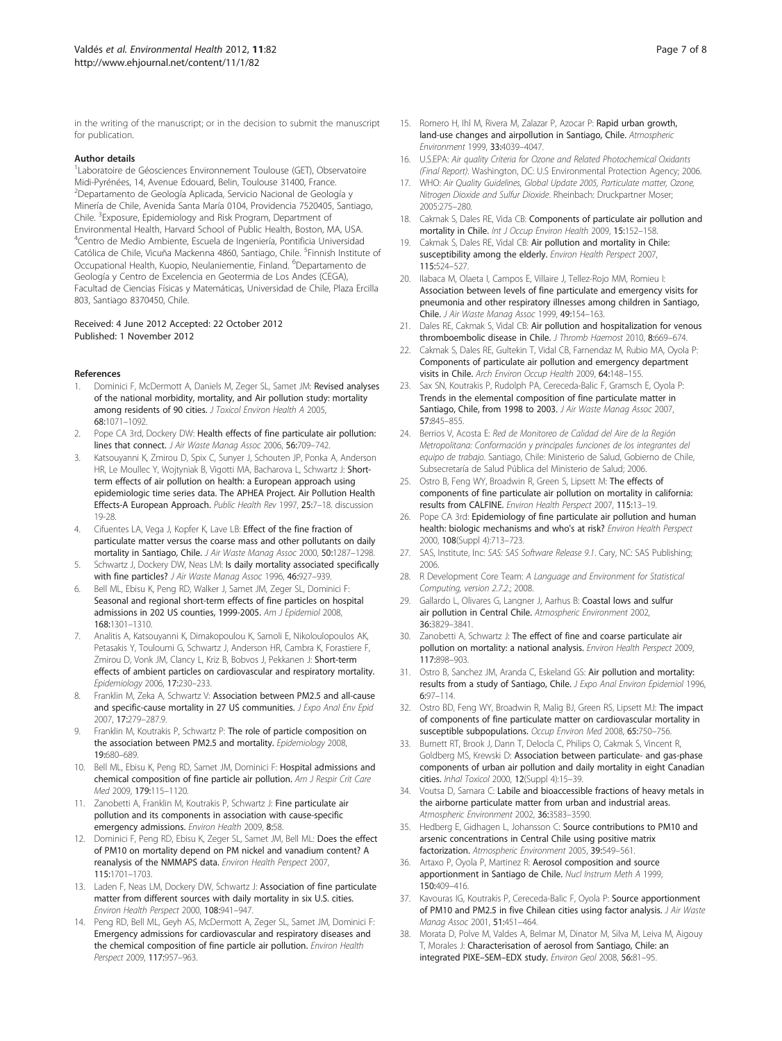<span id="page-6-0"></span>in the writing of the manuscript; or in the decision to submit the manuscript for publication.

#### Author details

<sup>1</sup> Laboratoire de Géosciences Environnement Toulouse (GET), Observatoire Midi-Pyrénées, 14, Avenue Edouard, Belin, Toulouse 31400, France. <sup>2</sup>Departamento de Geología Aplicada, Servicio Nacional de Geología y Minería de Chile, Avenida Santa María 0104, Providencia 7520405, Santiago, Chile. <sup>3</sup>Exposure, Epidemiology and Risk Program, Department of Environmental Health, Harvard School of Public Health, Boston, MA, USA. 4 Centro de Medio Ambiente, Escuela de Ingeniería, Pontificia Universidad Católica de Chile, Vicuña Mackenna 4860, Santiago, Chile. <sup>5</sup>Finnish Institute of Occupational Health, Kuopio, Neulaniementie, Finland. <sup>6</sup>Departamento de Geología y Centro de Excelencia en Geotermia de Los Andes (CEGA), Facultad de Ciencias Físicas y Matemáticas, Universidad de Chile, Plaza Ercilla 803, Santiago 8370450, Chile.

#### Received: 4 June 2012 Accepted: 22 October 2012 Published: 1 November 2012

#### References

- Dominici F, McDermott A, Daniels M, Zeger SL, Samet JM: Revised analyses of the national morbidity, mortality, and Air pollution study: mortality among residents of 90 cities. J Toxicol Environ Health A 2005, 68:1071–1092.
- 2. Pope CA 3rd, Dockery DW: Health effects of fine particulate air pollution: lines that connect. J Air Waste Manag Assoc 2006, 56:709-742.
- Katsouyanni K, Zmirou D, Spix C, Sunyer J, Schouten JP, Ponka A, Anderson HR, Le Moullec Y, Wojtyniak B, Vigotti MA, Bacharova L, Schwartz J: Shortterm effects of air pollution on health: a European approach using epidemiologic time series data. The APHEA Project. Air Pollution Health Effects-A European Approach. Public Health Rev 1997, 25:7–18. discussion 19-28.
- 4. Cifuentes LA, Vega J, Kopfer K, Lave LB: Effect of the fine fraction of particulate matter versus the coarse mass and other pollutants on daily mortality in Santiago, Chile. J Air Waste Manag Assoc 2000, 50:1287–1298.
- Schwartz J, Dockery DW, Neas LM: Is daily mortality associated specifically with fine particles? J Air Waste Manag Assoc 1996, 46:927–939.
- 6. Bell ML, Ebisu K, Peng RD, Walker J, Samet JM, Zeger SL, Dominici F: Seasonal and regional short-term effects of fine particles on hospital admissions in 202 US counties, 1999-2005. Am J Epidemiol 2008, 168:1301–1310.
- 7. Analitis A, Katsouyanni K, Dimakopoulou K, Samoli E, Nikoloulopoulos AK, Petasakis Y, Touloumi G, Schwartz J, Anderson HR, Cambra K, Forastiere F, Zmirou D, Vonk JM, Clancy L, Kriz B, Bobvos J, Pekkanen J: Short-term effects of ambient particles on cardiovascular and respiratory mortality. Epidemiology 2006, 17:230–233.
- 8. Franklin M, Zeka A, Schwartz V: Association between PM2.5 and all-cause and specific-cause mortality in 27 US communities. J Expo Anal Env Epid 2007, 17:279–287.9.
- Franklin M, Koutrakis P, Schwartz P: The role of particle composition on the association between PM2.5 and mortality. Epidemiology 2008, 19:680–689.
- 10. Bell ML, Ebisu K, Peng RD, Samet JM, Dominici F: Hospital admissions and chemical composition of fine particle air pollution. Am J Respir Crit Care Med 2009, 179:115–1120.
- 11. Zanobetti A, Franklin M, Koutrakis P, Schwartz J: Fine particulate air pollution and its components in association with cause-specific emergency admissions. Environ Health 2009, 8:58.
- 12. Dominici F, Peng RD, Ebisu K, Zeger SL, Samet JM, Bell ML: Does the effect of PM10 on mortality depend on PM nickel and vanadium content? A reanalysis of the NMMAPS data. Environ Health Perspect 2007, 115:1701–1703.
- 13. Laden F, Neas LM, Dockery DW, Schwartz J: Association of fine particulate matter from different sources with daily mortality in six U.S. cities. Environ Health Perspect 2000, 108:941–947.
- 14. Peng RD, Bell ML, Geyh AS, McDermott A, Zeger SL, Samet JM, Dominici F: Emergency admissions for cardiovascular and respiratory diseases and the chemical composition of fine particle air pollution. Environ Health Perspect 2009, 117:957–963.
- 15. Romero H, Ihl M, Rivera M, Zalazar P, Azocar P: Rapid urban growth, land-use changes and airpollution in Santiago, Chile. Atmospheric Environment 1999, 33:4039–4047.
- 16. U.S.EPA: Air quality Criteria for Ozone and Related Photochemical Oxidants (Final Report). Washington, DC: U.S Environmental Protection Agency; 2006.
- 17. WHO: Air Quality Guidelines, Global Update 2005, Particulate matter, Ozone, Nitrogen Dioxide and Sulfur Dioxide. Rheinbach: Druckpartner Moser; 2005:275–280.
- 18. Cakmak S, Dales RE, Vida CB: Components of particulate air pollution and mortality in Chile. Int J Occup Environ Health 2009, 15:152-158.
- 19. Cakmak S, Dales RE, Vidal CB: Air pollution and mortality in Chile: susceptibility among the elderly. Environ Health Perspect 2007, 115:524–527.
- 20. Ilabaca M, Olaeta I, Campos E, Villaire J, Tellez-Rojo MM, Romieu I: Association between levels of fine particulate and emergency visits for pneumonia and other respiratory illnesses among children in Santiago, Chile. J Air Waste Manag Assoc 1999, 49:154–163.
- 21. Dales RE, Cakmak S, Vidal CB: Air pollution and hospitalization for venous thromboembolic disease in Chile. J Thromb Haemost 2010, 8:669–674.
- 22. Cakmak S, Dales RE, Gultekin T, Vidal CB, Farnendaz M, Rubio MA, Oyola P: Components of particulate air pollution and emergency department visits in Chile. Arch Environ Occup Health 2009, 64:148-155.
- 23. Sax SN, Koutrakis P, Rudolph PA, Cereceda-Balic F, Gramsch E, Oyola P: Trends in the elemental composition of fine particulate matter in Santiago, Chile, from 1998 to 2003. J Air Waste Manag Assoc 2007, 57:845–855.
- 24. Berrios V, Acosta E: Red de Monitoreo de Calidad del Aire de la Región Metropolitana: Conformación y principales funciones de los integrantes del equipo de trabajo. Santiago, Chile: Ministerio de Salud, Gobierno de Chile, Subsecretaría de Salud Pública del Ministerio de Salud; 2006.
- 25. Ostro B, Feng WY, Broadwin R, Green S, Lipsett M: The effects of components of fine particulate air pollution on mortality in california: results from CALFINE. Environ Health Perspect 2007, 115:13–19.
- 26. Pope CA 3rd: Epidemiology of fine particulate air pollution and human health: biologic mechanisms and who's at risk? Environ Health Perspect 2000, 108(Suppl 4):713–723.
- 27. SAS, Institute, Inc: SAS: SAS Software Release 9.1. Cary, NC: SAS Publishing; 2006.
- 28. R Development Core Team: A Language and Environment for Statistical Computing, version 2.7.2.; 2008.
- 29. Gallardo L, Olivares G, Langner J, Aarhus B: Coastal lows and sulfur air pollution in Central Chile. Atmospheric Environment 2002, 36:3829–3841.
- 30. Zanobetti A, Schwartz J: The effect of fine and coarse particulate air pollution on mortality: a national analysis. Environ Health Perspect 2009, 117:898–903.
- 31. Ostro B, Sanchez JM, Aranda C, Eskeland GS: Air pollution and mortality: results from a study of Santiago, Chile. J Expo Anal Environ Epidemiol 1996, 6:97–114.
- 32. Ostro BD, Feng WY, Broadwin R, Malig BJ, Green RS, Lipsett MJ: The impact of components of fine particulate matter on cardiovascular mortality in susceptible subpopulations. Occup Environ Med 2008, 65:750-756.
- 33. Burnett RT, Brook J, Dann T, Delocla C, Philips O, Cakmak S, Vincent R, Goldberg MS, Krewski D: Association between particulate- and gas-phase components of urban air pollution and daily mortality in eight Canadian cities. Inhal Toxicol 2000, 12(Suppl 4):15–39.
- Voutsa D, Samara C: Labile and bioaccessible fractions of heavy metals in the airborne particulate matter from urban and industrial areas. Atmospheric Environment 2002, 36:3583–3590.
- 35. Hedberg E, Gidhagen L, Johansson C: Source contributions to PM10 and arsenic concentrations in Central Chile using positive matrix factorization. Atmospheric Environment 2005, 39:549–561.
- 36. Artaxo P, Oyola P, Martinez R: Aerosol composition and source apportionment in Santiago de Chile. Nucl Instrum Meth A 1999, 150:409–416.
- 37. Kavouras IG, Koutrakis P, Cereceda-Balic F, Oyola P: Source apportionment of PM10 and PM2.5 in five Chilean cities using factor analysis. J Air Waste Manag Assoc 2001, 51:451–464.
- 38. Morata D, Polve M, Valdes A, Belmar M, Dinator M, Silva M, Leiva M, Aigouy T, Morales J: Characterisation of aerosol from Santiago, Chile: an integrated PIXE–SEM–EDX study. Environ Geol 2008, 56:81–95.